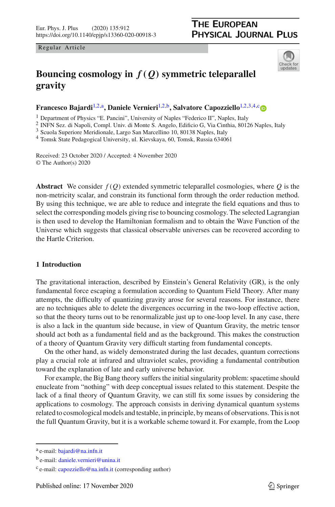Regular Article

<span id="page-0-2"></span><span id="page-0-1"></span><span id="page-0-0"></span>

# **Bouncing cosmology in** *f( Q)* **symmetric teleparallel gravity**

**Francesco Bajardi<sup>[1,2,](#page-0-0)a</sup>, Daniele Vernieri<sup>1,2,b</sup>, Salvatore Capozziello<sup>1,2,[3](#page-0-1)[,4,](#page-0-2)[c](http://orcid.org/0000-0003-4886-2024)</sup>** 

<sup>1</sup> Department of Physics "E. Pancini", University of Naples "Federico II", Naples, Italy

<sup>2</sup> INFN Sez. di Napoli, Compl. Univ. di Monte S. Angelo, Edificio G, Via Cinthia, 80126 Naples, Italy

<sup>3</sup> Scuola Superiore Meridionale, Largo San Marcellino 10, 80138 Naples, Italy

<sup>4</sup> Tomsk State Pedagogical University, ul. Kievskaya, 60, Tomsk, Russia 634061

Received: 23 October 2020 / Accepted: 4 November 2020 © The Author(s) 2020

**Abstract** We consider  $f(Q)$  extended symmetric teleparallel cosmologies, where  $Q$  is the non-metricity scalar, and constrain its functional form through the order reduction method. By using this technique, we are able to reduce and integrate the field equations and thus to select the corresponding models giving rise to bouncing cosmology. The selected Lagrangian is then used to develop the Hamiltonian formalism and to obtain the Wave Function of the Universe which suggests that classical observable universes can be recovered according to the Hartle Criterion.

## **1 Introduction**

The gravitational interaction, described by Einstein's General Relativity (GR), is the only fundamental force escaping a formulation according to Quantum Field Theory. After many attempts, the difficulty of quantizing gravity arose for several reasons. For instance, there are no techniques able to delete the divergences occurring in the two-loop effective action, so that the theory turns out to be renormalizable just up to one-loop level. In any case, there is also a lack in the quantum side because, in view of Quantum Gravity, the metric tensor should act both as a fundamental field and as the background. This makes the construction of a theory of Quantum Gravity very difficult starting from fundamental concepts.

On the other hand, as widely demonstrated during the last decades, quantum corrections play a crucial role at infrared and ultraviolet scales, providing a fundamental contribution toward the explanation of late and early universe behavior.

For example, the Big Bang theory suffers the initial singularity problem: spacetime should enucleate from "nothing" with deep conceptual issues related to this statement. Despite the lack of a final theory of Quantum Gravity, we can still fix some issues by considering the applications to cosmology. The approach consists in deriving dynamical quantum systems related to cosmological models and testable, in principle, by means of observations. This is not the full Quantum Gravity, but it is a workable scheme toward it. For example, from the Loop

a e-mail: [bajardi@na.infn.it](mailto:bajardi@na.infn.it)

<sup>b</sup> e-mail: [daniele.vernieri@unina.it](mailto:daniele.vernieri@unina.it)

 $c$  e-mail: [capozziello@na.infn.it](mailto:capozziello@na.infn.it) (corresponding author)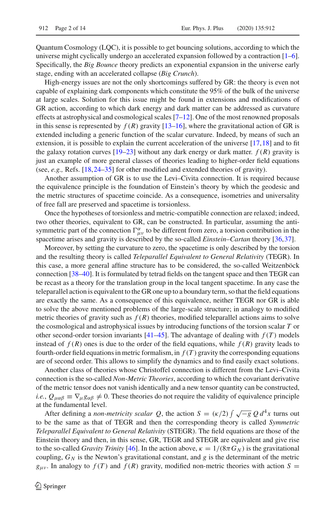Quantum Cosmology (LQC), it is possible to get bouncing solutions, according to which the universe might cyclically undergo an accelerated expansion followed by a contraction [\[1](#page-12-0)[–6\]](#page-12-1). Specifically, the *Big Bounce* theory predicts an exponential expansion in the universe early stage, ending with an accelerated collapse (*Big Crunch*).

High-energy issues are not the only shortcomings suffered by GR: the theory is even not capable of explaining dark components which constitute the 95% of the bulk of the universe at large scales. Solution for this issue might be found in extensions and modifications of GR action, according to which dark energy and dark matter can be addressed as curvature effects at astrophysical and cosmological scales  $[7-12]$  $[7-12]$ . One of the most renowned proposals in this sense is represented by  $f(R)$  gravity [\[13](#page-12-4)[–16\]](#page-12-5), where the gravitational action of GR is extended including a generic function of the scalar curvature. Indeed, by means of such an extension, it is possible to explain the current acceleration of the universe [\[17](#page-12-6)[,18\]](#page-12-7) and to fit the galaxy rotation curves  $[19–23]$  $[19–23]$  $[19–23]$  without any dark energy or dark matter.  $f(R)$  gravity is just an example of more general classes of theories leading to higher-order field equations (see, *e.g.,* Refs. [\[18](#page-12-7)[,24](#page-12-10)[–35\]](#page-12-11) for other modified and extended theories of gravity).

Another assumption of GR is to use the Levi–Civita connection. It is required because the equivalence principle is the foundation of Einstein's theory by which the geodesic and the metric structures of spacetime coincide. As a consequence, isometries and universality of free fall are preserved and spacetime is torsionless.

Once the hypotheses of torsionless and metric-compatible connection are relaxed; indeed, two other theories, equivalent to GR, can be constructed. In particular, assuming the antisymmetric part of the connection  $\Gamma^{\alpha}_{\mu\nu}$  to be different from zero, a torsion contribution in the spacetime arises and gravity is described by the so-called *Einstein–Cartan* theory [\[36](#page-12-12)[,37\]](#page-12-13).

Moreover, by setting the curvature to zero, the spacetime is only described by the torsion and the resulting theory is called *Teleparallel Equivalent to General Relativity* (TEGR). In this case, a more general affine structure has to be considered, the so-called Weitzenböck connection [\[38](#page-12-14)[–40](#page-13-0)]. It is formulated by tetrad fields on the tangent space and then TEGR can be recast as a theory for the translation group in the local tangent spacetime. In any case the teleparallel action is equivalent to the GR one up to a boundary term, so that the field equations are exactly the same. As a consequence of this equivalence, neither TEGR nor GR is able to solve the above mentioned problems of the large-scale structure; in analogy to modified metric theories of gravity such as  $f(R)$  theories, modified teleparallel actions aims to solve the cosmological and astrophysical issues by introducing functions of the torsion scalar *T* or other second-order torsion invariants  $[41-45]$  $[41-45]$ . The advantage of dealing with  $f(T)$  models instead of  $f(R)$  ones is due to the order of the field equations, while  $f(R)$  gravity leads to fourth-order field equations in metric formalism, in  $f(T)$  gravity the corresponding equations are of second order. This allows to simplify the dynamics and to find easily exact solutions.

Another class of theories whose Christoffel connection is different from the Levi–Civita connection is the so-called *Non-Metric Theories*, according to which the covariant derivative of the metric tensor does not vanish identically and a new tensor quantity can be constructed, *i.e.*,  $Q_{\mu\alpha\beta} \equiv \nabla_{\mu}g_{\alpha\beta} \neq 0$ . These theories do not require the validity of equivalence principle at the fundamental level.

After defining a *non-metricity scalar* Q, the action  $S = (\kappa/2) \int \sqrt{-g} Q d^4x$  turns out to be the same as that of TEGR and then the corresponding theory is called *Symmetric Teleparallel Equivalent to General Relativity* (STEGR). The field equations are those of the Einstein theory and then, in this sense, GR, TEGR and STEGR are equivalent and give rise to the so-called *Gravity Trinity* [\[46\]](#page-13-3). In the action above,  $\kappa = 1/(8\pi G_N)$  is the gravitational coupling,  $G_N$  is the Newton's gravitational constant, and *g* is the determinant of the metric  $g_{\mu\nu}$ . In analogy to  $f(T)$  and  $f(R)$  gravity, modified non-metric theories with action  $S =$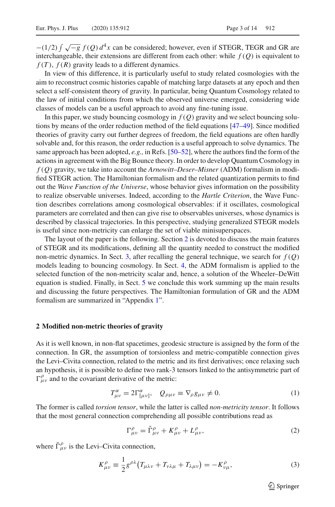$-(1/2)\int \sqrt{-g} f(Q) d^4x$  can be considered; however, even if STEGR, TEGR and GR are interchangeable, their extensions are different from each other: while *f* (*Q*) is equivalent to  $f(T)$ ,  $f(R)$  gravity leads to a different dynamics.

In view of this difference, it is particularly useful to study related cosmologies with the aim to reconstruct cosmic histories capable of matching large datasets at any epoch and then select a self-consistent theory of gravity. In particular, being Quantum Cosmology related to the law of initial conditions from which the observed universe emerged, considering wide classes of models can be a useful approach to avoid any fine-tuning issue.

In this paper, we study bouncing cosmology in  $f(Q)$  gravity and we select bouncing solutions by means of the order reduction method of the field equations [\[47](#page-13-4)[–49](#page-13-5)]. Since modified theories of gravity carry out further degrees of freedom, the field equations are often hardly solvable and, for this reason, the order reduction is a useful approach to solve dynamics. The same approach has been adopted, *e.g.,* in Refs. [\[50](#page-13-6)[–52](#page-13-7)], where the authors find the form of the actions in agreement with the Big Bounce theory. In order to develop Quantum Cosmology in *f* (*Q*) gravity, we take into account the *Arnowitt–Deser–Misner* (ADM) formalism in modified STEGR action. The Hamiltonian formalism and the related quantization permits to find out the *Wave Function of the Universe*, whose behavior gives information on the possibility to realize observable universes. Indeed, according to the *Hartle Criterion*, the Wave Function describes correlations among cosmological observables: if it oscillates, cosmological parameters are correlated and then can give rise to observables universes, whose dynamics is described by classical trajectories. In this perspective, studying generalized STEGR models is useful since non-metricity can enlarge the set of viable minisuperspaces.

The layout of the paper is the following. Section [2](#page-2-0) is devoted to discuss the main features of STEGR and its modifications, defining all the quantity needed to construct the modified non-metric dynamics. In Sect. [3,](#page-4-0) after recalling the general technique, we search for  $f(Q)$ models leading to bouncing cosmology. In Sect. [4,](#page-5-0) the ADM formalism is applied to the selected function of the non-metricity scalar and, hence, a solution of the Wheeler–DeWitt equation is studied. Finally, in Sect. [5](#page-8-0) we conclude this work summing up the main results and discussing the future perspectives. The Hamiltonian formulation of GR and the ADM formalism are summarized in "Appendix [1"](#page-9-0).

#### <span id="page-2-0"></span>**2 Modified non-metric theories of gravity**

As it is well known, in non-flat spacetimes, geodesic structure is assigned by the form of the connection. In GR, the assumption of torsionless and metric-compatible connection gives the Levi–Civita connection, related to the metric and its first derivatives; once relaxing such an hypothesis, it is possible to define two rank-3 tensors linked to the antisymmetric part of  $\Gamma^{\rho}_{\mu\nu}$  and to the covariant derivative of the metric:

$$
T^{\alpha}_{\mu\nu} = 2\Gamma^{\alpha}_{[\mu\nu]}, \quad Q_{\rho\mu\nu} \equiv \nabla_{\rho}g_{\mu\nu} \neq 0. \tag{1}
$$

The former is called *torsion tensor*, while the latter is called *non-metricity tensor*. It follows that the most general connection comprehending all possible contributions read as

$$
\Gamma^{\rho}_{\mu\nu} = \check{\Gamma}^{\rho}_{\mu\nu} + K^{\rho}_{\mu\nu} + L^{\rho}_{\mu\nu},\tag{2}
$$

where  $\check{\Gamma}^{\rho}_{\mu\nu}$  is the Levi–Civita connection,

$$
K^{\rho}_{\mu\nu} \equiv \frac{1}{2} g^{\rho\lambda} \left( T_{\mu\lambda\nu} + T_{\nu\lambda\mu} + T_{\lambda\mu\nu} \right) = -K^{\rho}_{\nu\mu}, \tag{3}
$$

 $\circled{2}$  Springer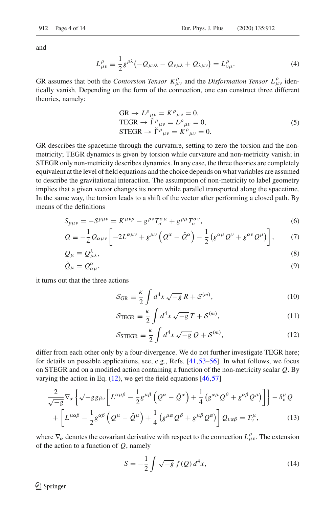and

$$
L^{\rho}_{\mu\nu} \equiv \frac{1}{2} g^{\rho\lambda} \left( -Q_{\mu\nu\lambda} - Q_{\nu\mu\lambda} + Q_{\lambda\mu\nu} \right) = L^{\rho}_{\nu\mu}.
$$
 (4)

GR assumes that both the *Contorsion Tensor*  $K_{\mu\nu}^{\rho}$  and the *Disformation Tensor*  $L_{\mu\nu}^{\rho}$  identically vanish. Depending on the form of the connection, one can construct three different theories, namely:

$$
GR \to L^{\rho}{}_{\mu\nu} = K^{\rho}{}_{\mu\nu} = 0,
$$
  
TEGR \to \check{\Gamma}^{\rho}{}\_{\mu\nu} = L^{\rho}{}\_{\mu\nu} = 0,  
STEGR \to \check{\Gamma}^{\rho}{}\_{\mu\nu} = K^{\rho}{}\_{\mu\nu} = 0. (5)

GR describes the spacetime through the curvature, setting to zero the torsion and the nonmetricity; TEGR dynamics is given by torsion while curvature and non-metricity vanish; in STEGR only non-metricity describes dynamics. In any case, the three theories are completely equivalent at the level of field equations and the choice depends on what variables are assumed to describe the gravitational interaction. The assumption of non-metricity to label geometry implies that a given vector changes its norm while parallel transported along the spacetime. In the same way, the torsion leads to a shift of the vector after performing a closed path. By means of the definitions

$$
S_{p\mu\nu} = -S^{p\mu\nu} = K^{\mu\nu\rho} - g^{\rho\nu} T^{\sigma\mu}_{\sigma} + g^{\rho\mu} T^{\sigma\nu}_{\sigma},\tag{6}
$$

$$
Q = -\frac{1}{4}Q_{\alpha\mu\nu}\left[-2L^{\alpha\mu\nu} + g^{\mu\nu}\left(Q^{\alpha} - \tilde{Q}^{\alpha}\right) - \frac{1}{2}\left(g^{\alpha\mu}Q^{\nu} + g^{\alpha\nu}Q^{\mu}\right)\right],\tag{7}
$$

$$
Q_{\mu} \equiv Q_{\mu\lambda}^{\lambda},\tag{8}
$$

$$
\tilde{Q}_{\mu} = Q^{\alpha}_{\alpha\mu},\tag{9}
$$

it turns out that the three actions

<span id="page-3-0"></span>
$$
S_{\rm GR} \equiv \frac{\kappa}{2} \int d^4 x \sqrt{-g} R + S^{(m)}, \qquad (10)
$$

$$
S_{\text{TEGR}} \equiv \frac{\kappa}{2} \int d^4 x \sqrt{-g} \, T + S^{(m)},\tag{11}
$$

$$
S_{\text{STEGR}} \equiv \frac{\kappa}{2} \int d^4x \sqrt{-g} \, Q + S^{(m)},\tag{12}
$$

differ from each other only by a four-divergence. We do not further investigate TEGR here; for details on possible applications, see, e.g., Refs. [\[41,](#page-13-1)[53](#page-13-8)[–56\]](#page-13-9). In what follows, we focus on STEGR and on a modified action containing a function of the non-metricity scalar *Q*. By varying the action in Eq.  $(12)$ , we get the field equations  $[46,57]$  $[46,57]$  $[46,57]$ 

$$
\frac{2}{\sqrt{-g}}\nabla_{\alpha}\left\{\sqrt{-g}g_{\beta\nu}\left[L^{\alpha\mu\beta}-\frac{1}{2}g^{\mu\beta}\left(Q^{\alpha}-\tilde{Q}^{\alpha}\right)+\frac{1}{4}\left(g^{\alpha\mu}Q^{\beta}+g^{\alpha\beta}Q^{\mu}\right)\right]\right\}-\delta^{\mu}_{\nu}Q
$$
\n
$$
+\left[L^{\mu\alpha\beta}-\frac{1}{2}g^{\alpha\beta}\left(Q^{\mu}-\tilde{Q}^{\mu}\right)+\frac{1}{4}\left(g^{\mu\alpha}Q^{\beta}+g^{\mu\beta}Q^{\alpha}\right)\right]Q_{\nu\alpha\beta}=T^{\mu}_{\nu},\tag{13}
$$

where  $\nabla_{\alpha}$  denotes the covariant derivative with respect to the connection  $L^{\rho}_{\mu\nu}$ . The extension of the action to a function of *Q*, namely

<span id="page-3-1"></span>
$$
S = -\frac{1}{2} \int \sqrt{-g} \, f(Q) \, d^4x,\tag{14}
$$

 $\bigcirc$  Springer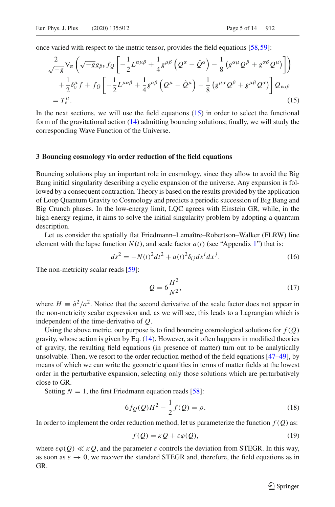once varied with respect to the metric tensor, provides the field equations [\[58](#page-13-11),[59](#page-13-12)]:

<span id="page-4-1"></span>
$$
\frac{2}{\sqrt{-g}}\nabla_{\alpha}\left(\sqrt{-g}g_{\beta\nu}f_{Q}\left[-\frac{1}{2}L^{\alpha\mu\beta}+\frac{1}{4}g^{\mu\beta}\left(Q^{\alpha}-\tilde{Q}^{\alpha}\right)-\frac{1}{8}\left(g^{\alpha\mu}Q^{\beta}+g^{\alpha\beta}Q^{\mu}\right)\right]\right) \n+\frac{1}{2}\delta_{\nu}^{\mu}f+f_{Q}\left[-\frac{1}{2}L^{\mu\alpha\beta}+\frac{1}{4}g^{\alpha\beta}\left(Q^{\mu}-\tilde{Q}^{\mu}\right)-\frac{1}{8}\left(g^{\mu\alpha}Q^{\beta}+g^{\mu\beta}Q^{\alpha}\right)\right]Q_{\nu\alpha\beta} \n=T_{\nu}^{\mu}.
$$
\n(15)

In the next sections, we will use the field equations  $(15)$  in order to select the functional form of the gravitational action [\(14\)](#page-3-1) admitting bouncing solutions; finally, we will study the corresponding Wave Function of the Universe.

#### <span id="page-4-0"></span>**3 Bouncing cosmology via order reduction of the field equations**

Bouncing solutions play an important role in cosmology, since they allow to avoid the Big Bang initial singularity describing a cyclic expansion of the universe. Any expansion is followed by a consequent contraction. Theory is based on the results provided by the application of Loop Quantum Gravity to Cosmology and predicts a periodic succession of Big Bang and Big Crunch phases. In the low-energy limit, LQC agrees with Einstein GR, while, in the high-energy regime, it aims to solve the initial singularity problem by adopting a quantum description.

Let us consider the spatially flat Friedmann–Lemaître–Robertson–Walker (FLRW) line element with the lapse function  $N(t)$ , and scale factor  $a(t)$  (see "Appendix [1"](#page-9-0)) that is:

$$
ds^{2} = -N(t)^{2}dt^{2} + a(t)^{2}\delta_{ij}dx^{i}dx^{j}.
$$
 (16)

The non-metricity scalar reads [\[59\]](#page-13-12):

<span id="page-4-4"></span>
$$
Q = 6\frac{H^2}{N^2},\tag{17}
$$

where  $H = \dot{a}^2/a^2$ . Notice that the second derivative of the scale factor does not appear in the non-metricity scalar expression and, as we will see, this leads to a Lagrangian which is independent of the time-derivative of *Q*.

Using the above metric, our purpose is to find bouncing cosmological solutions for  $f(Q)$ gravity, whose action is given by Eq. [\(14\)](#page-3-1). However, as it often happens in modified theories of gravity, the resulting field equations (in presence of matter) turn out to be analytically unsolvable. Then, we resort to the order reduction method of the field equations [\[47](#page-13-4)[–49\]](#page-13-5), by means of which we can write the geometric quantities in terms of matter fields at the lowest order in the perturbative expansion, selecting only those solutions which are perturbatively close to GR.

Setting  $N = 1$ , the first Friedmann equation reads [\[58](#page-13-11)]:

<span id="page-4-3"></span>
$$
6f_Q(Q)H^2 - \frac{1}{2}f(Q) = \rho.
$$
 (18)

In order to implement the order reduction method, let us parameterize the function  $f(Q)$  as:

<span id="page-4-2"></span>
$$
f(Q) = \kappa Q + \varepsilon \varphi(Q),\tag{19}
$$

where  $\varepsilon \varphi(Q) \ll \kappa Q$ , and the parameter  $\varepsilon$  controls the deviation from STEGR. In this way, as soon as  $\varepsilon \to 0$ , we recover the standard STEGR and, therefore, the field equations as in GR.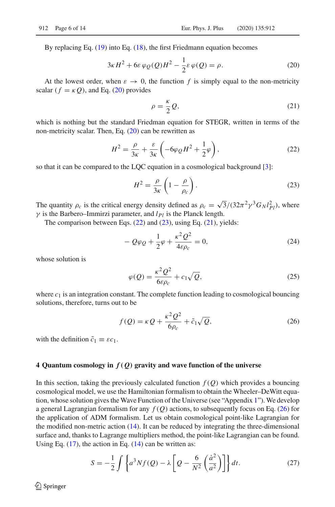By replacing Eq. [\(19\)](#page-4-2) into Eq. [\(18\)](#page-4-3), the first Friedmann equation becomes

<span id="page-5-1"></span>
$$
3\kappa H^2 + 6\varepsilon \varphi_Q(Q)H^2 - \frac{1}{2}\varepsilon \varphi(Q) = \rho.
$$
 (20)

At the lowest order, when  $\varepsilon \to 0$ , the function f is simply equal to the non-metricity scalar ( $f = \kappa Q$ ), and Eq. [\(20\)](#page-5-1) provides

<span id="page-5-4"></span>
$$
\rho = \frac{\kappa}{2} Q,\tag{21}
$$

which is nothing but the standard Friedman equation for STEGR, written in terms of the non-metricity scalar. Then, Eq. [\(20\)](#page-5-1) can be rewritten as

<span id="page-5-2"></span>
$$
H^2 = \frac{\rho}{3\kappa} + \frac{\varepsilon}{3\kappa} \left( -6\varphi_Q H^2 + \frac{1}{2}\varphi \right),\tag{22}
$$

so that it can be compared to the LQC equation in a cosmological background [\[3\]](#page-12-15):

<span id="page-5-3"></span>
$$
H^2 = \frac{\rho}{3\kappa} \left( 1 - \frac{\rho}{\rho_c} \right). \tag{23}
$$

The quantity  $\rho_c$  is the critical energy density defined as  $\rho_c = \sqrt{3}/(32\pi^2 \gamma^3 G_N l_{Pl}^2)$ , where  $\gamma$  is the Barbero–Immirzi parameter, and  $l_{Pl}$  is the Planck length.

The comparison between Eqs.  $(22)$  and  $(23)$ , using Eq.  $(21)$ , yields:

$$
-Q\varphi_Q + \frac{1}{2}\varphi + \frac{\kappa^2 Q^2}{4\varepsilon \rho_c} = 0,
$$
 (24)

whose solution is

$$
\varphi(Q) = \frac{\kappa^2 Q^2}{6\varepsilon \rho_c} + c_1 \sqrt{Q},\tag{25}
$$

where  $c_1$  is an integration constant. The complete function leading to cosmological bouncing solutions, therefore, turns out to be

<span id="page-5-5"></span>
$$
f(Q) = \kappa Q + \frac{\kappa^2 Q^2}{6\rho_c} + \tilde{c}_1 \sqrt{Q},\tag{26}
$$

with the definition  $\tilde{c}_1 \equiv \varepsilon c_1$ .

#### <span id="page-5-0"></span>**4 Quantum cosmology in** *f( Q)* **gravity and wave function of the universe**

In this section, taking the previously calculated function  $f(Q)$  which provides a bouncing cosmological model, we use the Hamiltonian formalism to obtain the Wheeler–DeWitt equation, whose solution gives the Wave Function of the Universe (see "Appendix [1"](#page-9-0)). We develop a general Lagrangian formalism for any  $f(Q)$  actions, to subsequently focus on Eq. [\(26\)](#page-5-5) for the application of ADM formalism. Let us obtain cosmological point-like Lagrangian for the modified non-metric action [\(14\)](#page-3-1). It can be reduced by integrating the three-dimensional surface and, thanks to Lagrange multipliers method, the point-like Lagrangian can be found. Using Eq.  $(17)$ , the action in Eq.  $(14)$  can be written as:

$$
S = -\frac{1}{2} \int \left\{ a^3 N f(Q) - \lambda \left[ Q - \frac{6}{N^2} \left( \frac{\dot{a}^2}{a^2} \right) \right] \right\} dt.
$$
 (27)

 $\mathcal{L}$  Springer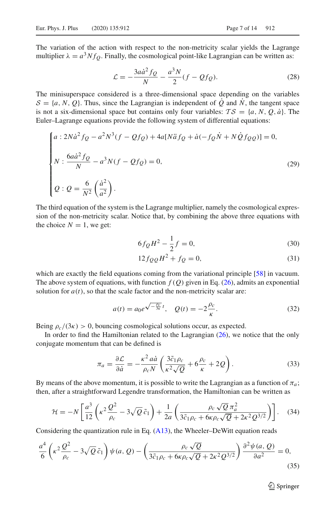The variation of the action with respect to the non-metricity scalar yields the Lagrange multiplier  $\lambda = a^3 N f_Q$ . Finally, the cosmological point-like Lagrangian can be written as:

$$
\mathcal{L} = -\frac{3a\dot{a}^2 f_Q}{N} - \frac{a^3 N}{2} (f - Qf_Q). \tag{28}
$$

The minisuperspace considered is a three-dimensional space depending on the variables  $S = \{a, N, Q\}$ . Thus, since the Lagrangian is independent of  $\dot{Q}$  and  $\dot{N}$ , the tangent space is not a six-dimensional space but contains only four variables:  $TS = \{a, N, Q, \dot{a}\}\$ . The Euler–Lagrange equations provide the following system of differential equations:

$$
\begin{cases}\na: 2N\dot{a}^2 f_Q - a^2 N^3 (f - Qf_Q) + 4a[N\ddot{a} f_Q + \dot{a}(-f_Q \dot{N} + N \dot{Q} f_{QQ})] = 0, \\
N: \frac{6a\dot{a}^2 f_Q}{N} - a^3 N (f - Qf_Q) = 0, \\
Q: Q = \frac{6}{N^2} \left(\frac{\dot{a}^2}{a^2}\right).\n\end{cases}
$$
\n(29)

The third equation of the system is the Lagrange multiplier, namely the cosmological expression of the non-metricity scalar. Notice that, by combining the above three equations with the choice  $N = 1$ , we get:

$$
6f_{Q}H^{2} - \frac{1}{2}f = 0,
$$
\n(30)

$$
12f_{QQ}H^2 + f_Q = 0,\t(31)
$$

which are exactly the field equations coming from the variational principle [\[58\]](#page-13-11) in vacuum. The above system of equations, with function  $f(Q)$  given in Eq. [\(26\)](#page-5-5), admits an exponential solution for  $a(t)$ , so that the scale factor and the non-metricity scalar are:

$$
a(t) = a_0 e^{\sqrt{-\frac{\rho_c}{3\kappa}}t}, \quad Q(t) = -2\frac{\rho_c}{\kappa}.
$$
 (32)

Being  $\rho_c/(3\kappa) > 0$ , bouncing cosmological solutions occur, as expected.

In order to find the Hamiltonian related to the Lagrangian [\(26\)](#page-5-5), we notice that the only conjugate momentum that can be defined is

$$
\pi_a = \frac{\partial \mathcal{L}}{\partial \dot{a}} = -\frac{\kappa^2 a \dot{a}}{\rho_c N} \left( \frac{3\tilde{c}_1 \rho_c}{\kappa^2 \sqrt{Q}} + 6\frac{\rho_c}{\kappa} + 2Q \right). \tag{33}
$$

By means of the above momentum, it is possible to write the Lagrangian as a function of  $\pi_a$ ; then, after a straightforward Legendre transformation, the Hamiltonian can be written as

$$
\mathcal{H} = -N \left[ \frac{a^3}{12} \left( \kappa^2 \frac{Q^2}{\rho_c} - 3\sqrt{Q} \,\tilde{c}_1 \right) + \frac{1}{2a} \left( \frac{\rho_c \sqrt{Q} \,\pi_a^2}{3\tilde{c}_1 \rho_c + 6\kappa \rho_c \sqrt{Q} + 2\kappa^2 Q^{3/2}} \right) \right]. \tag{34}
$$

Considering the quantization rule in Eq. [\(A13\)](#page-11-0), the Wheeler–DeWitt equation reads

<span id="page-6-0"></span>
$$
\frac{a^4}{6} \left( \kappa^2 \frac{Q^2}{\rho_c} - 3\sqrt{Q} \,\tilde{c}_1 \right) \psi(a, Q) - \left( \frac{\rho_c \sqrt{Q}}{3\tilde{c}_1 \rho_c + 6\kappa \rho_c \sqrt{Q} + 2\kappa^2 Q^{3/2}} \right) \frac{\partial^2 \psi(a, Q)}{\partial a^2} = 0,
$$
\n(35)

 $\circled{2}$  Springer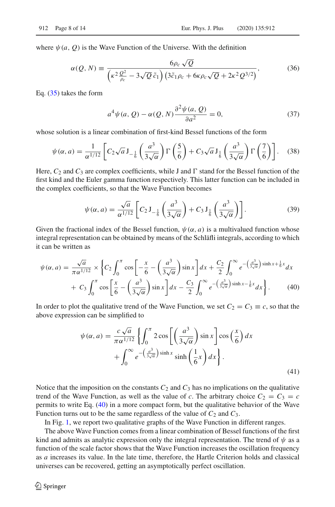where  $\psi(a, Q)$  is the Wave Function of the Universe. With the definition

$$
\alpha(Q, N) \equiv \frac{6\rho_c \sqrt{Q}}{\left(\kappa^2 \frac{Q^2}{\rho_c} - 3\sqrt{Q} \,\tilde{c}_1\right) \left(3\tilde{c}_1\rho_c + 6\kappa\rho_c\sqrt{Q} + 2\kappa^2 Q^{3/2}\right)},\tag{36}
$$

Eq. [\(35\)](#page-6-0) takes the form

$$
a^4\psi(a, Q) - \alpha(Q, N)\frac{\partial^2\psi(a, Q)}{\partial a^2} = 0,
$$
\n(37)

whose solution is a linear combination of first-kind Bessel functions of the form

$$
\psi(\alpha, a) = \frac{1}{\alpha^{1/12}} \left[ C_2 \sqrt{a} J_{-\frac{1}{6}} \left( \frac{a^3}{3\sqrt{\alpha}} \right) \Gamma \left( \frac{5}{6} \right) + C_3 \sqrt{a} J_{\frac{1}{6}} \left( \frac{a^3}{3\sqrt{\alpha}} \right) \Gamma \left( \frac{7}{6} \right) \right].
$$
 (38)

Here,  $C_2$  and  $C_3$  are complex coefficients, while J and  $\Gamma$  stand for the Bessel function of the first kind and the Euler gamma function respectively. This latter function can be included in the complex coefficients, so that the Wave Function becomes

$$
\psi(\alpha, a) = \frac{\sqrt{a}}{\alpha^{1/12}} \left[ C_2 \mathbf{J}_{-\frac{1}{6}} \left( \frac{a^3}{3\sqrt{\alpha}} \right) + C_3 \mathbf{J}_{\frac{1}{6}} \left( \frac{a^3}{3\sqrt{\alpha}} \right) \right].
$$
 (39)

Given the fractional index of the Bessel function,  $\psi(\alpha, a)$  is a multivalued function whose integral representation can be obtained by means of the Schläfli integrals, according to which it can be written as

<span id="page-7-0"></span>
$$
\psi(\alpha, a) = \frac{\sqrt{a}}{\pi \alpha^{1/12}} \times \left\{ C_2 \int_0^{\pi} \cos \left[ -\frac{x}{6} - \left( \frac{a^3}{3\sqrt{\alpha}} \right) \sin x \right] dx + \frac{C_2}{2} \int_0^{\infty} e^{-\left( \frac{a^3}{3\sqrt{\alpha}} \right) \sinh x + \frac{1}{6}x} dx + C_3 \int_0^{\pi} \cos \left[ \frac{x}{6} - \left( \frac{a^3}{3\sqrt{\alpha}} \right) \sin x \right] dx - \frac{C_3}{2} \int_0^{\infty} e^{-\left( \frac{a^3}{3\sqrt{\alpha}} \right) \sinh x - \frac{1}{6}x} dx \right\}.
$$
 (40)

In order to plot the qualitative trend of the Wave Function, we set  $C_2 = C_3 \equiv c$ , so that the above expression can be simplified to

$$
\psi(\alpha, a) = \frac{c\sqrt{a}}{\pi \alpha^{1/12}} \left\{ \int_0^{\pi} 2\cos\left[\left(\frac{a^3}{3\sqrt{\alpha}}\right)\sin x\right] \cos\left(\frac{x}{6}\right) dx + \int_0^{\infty} e^{-\left(\frac{a^3}{3\sqrt{\alpha}}\right)\sinh x} \sinh\left(\frac{1}{6}x\right) dx \right\}.
$$
\n(41)

Notice that the imposition on the constants  $C_2$  and  $C_3$  has no implications on the qualitative trend of the Wave Function, as well as the value of *c*. The arbitrary choice  $C_2 = C_3 = c$ permits to write Eq. [\(40\)](#page-7-0) in a more compact form, but the qualitative behavior of the Wave Function turns out to be the same regardless of the value of  $C_2$  and  $C_3$ .

In Fig. [1,](#page-8-1) we report two qualitative graphs of the Wave Function in different ranges.

The above Wave Function comes from a linear combination of Bessel functions of the first kind and admits as analytic expression only the integral representation. The trend of  $\psi$  as a function of the scale factor shows that the Wave Function increases the oscillation frequency as *a* increases its value. In the late time, therefore, the Hartle Criterion holds and classical universes can be recovered, getting an asymptotically perfect oscillation.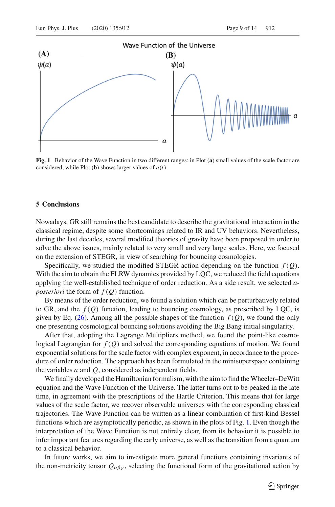

<span id="page-8-1"></span>**Fig. 1** Behavior of the Wave Function in two different ranges: in Plot (**a**) small values of the scale factor are considered, while Plot (**b**) shows larger values of  $a(t)$ 

## <span id="page-8-0"></span>**5 Conclusions**

Nowadays, GR still remains the best candidate to describe the gravitational interaction in the classical regime, despite some shortcomings related to IR and UV behaviors. Nevertheless, during the last decades, several modified theories of gravity have been proposed in order to solve the above issues, mainly related to very small and very large scales. Here, we focused on the extension of STEGR, in view of searching for bouncing cosmologies.

Specifically, we studied the modified STEGR action depending on the function  $f(Q)$ . With the aim to obtain the FLRW dynamics provided by LQC, we reduced the field equations applying the well-established technique of order reduction. As a side result, we selected *aposteriori* the form of *f* (*Q*) function.

By means of the order reduction, we found a solution which can be perturbatively related to GR, and the  $f(Q)$  function, leading to bouncing cosmology, as prescribed by LQC, is given by Eq. [\(26\)](#page-5-5). Among all the possible shapes of the function  $f(Q)$ , we found the only one presenting cosmological bouncing solutions avoiding the Big Bang initial singularity.

After that, adopting the Lagrange Multipliers method, we found the point-like cosmological Lagrangian for  $f(O)$  and solved the corresponding equations of motion. We found exponential solutions for the scale factor with complex exponent, in accordance to the procedure of order reduction. The approach has been formulated in the minisuperspace containing the variables *a* and *Q*, considered as independent fields.

We finally developed the Hamiltonian formalism, with the aim to find the Wheeler–DeWitt equation and the Wave Function of the Universe. The latter turns out to be peaked in the late time, in agreement with the prescriptions of the Hartle Criterion. This means that for large values of the scale factor, we recover observable universes with the corresponding classical trajectories. The Wave Function can be written as a linear combination of first-kind Bessel functions which are asymptotically periodic, as shown in the plots of Fig. [1.](#page-8-1) Even though the interpretation of the Wave Function is not entirely clear, from its behavior it is possible to infer important features regarding the early universe, as well as the transition from a quantum to a classical behavior.

In future works, we aim to investigate more general functions containing invariants of the non-metricity tensor  $Q_{\alpha\beta\gamma}$ , selecting the functional form of the gravitational action by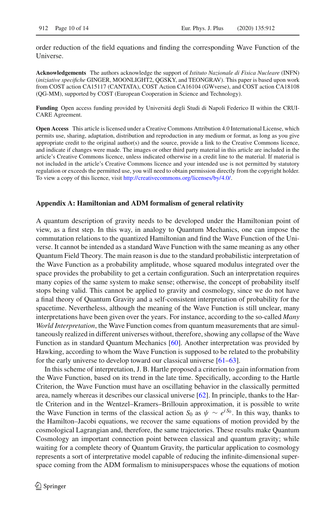order reduction of the field equations and finding the corresponding Wave Function of the Universe.

**Acknowledgements** The authors acknowledge the support of *Istituto Nazionale di Fisica Nucleare* (INFN) (*iniziative specifiche* GINGER, MOONLIGHT2, QGSKY, and TEONGRAV). This paper is based upon work from COST action CA15117 (CANTATA), COST Action CA16104 (GWverse), and COST action CA18108 (QG-MM), supported by COST (European Cooperation in Science and Technology).

**Funding** Open access funding provided by Universitá degli Studi di Napoli Federico II within the CRUI-CARE Agreement.

**Open Access** This article is licensed under a Creative Commons Attribution 4.0 International License, which permits use, sharing, adaptation, distribution and reproduction in any medium or format, as long as you give appropriate credit to the original author(s) and the source, provide a link to the Creative Commons licence, and indicate if changes were made. The images or other third party material in this article are included in the article's Creative Commons licence, unless indicated otherwise in a credit line to the material. If material is not included in the article's Creative Commons licence and your intended use is not permitted by statutory regulation or exceeds the permitted use, you will need to obtain permission directly from the copyright holder. To view a copy of this licence, visit [http://creativecommons.org/licenses/by/4.0/.](http://creativecommons.org/licenses/by/4.0/)

### <span id="page-9-0"></span>**Appendix A: Hamiltonian and ADM formalism of general relativity**

A quantum description of gravity needs to be developed under the Hamiltonian point of view, as a first step. In this way, in analogy to Quantum Mechanics, one can impose the commutation relations to the quantized Hamiltonian and find the Wave Function of the Universe. It cannot be intended as a standard Wave Function with the same meaning as any other Quantum Field Theory. The main reason is due to the standard probabilistic interpretation of the Wave Function as a probability amplitude, whose squared modulus integrated over the space provides the probability to get a certain configuration. Such an interpretation requires many copies of the same system to make sense; otherwise, the concept of probability itself stops being valid. This cannot be applied to gravity and cosmology, since we do not have a final theory of Quantum Gravity and a self-consistent interpretation of probability for the spacetime. Nevertheless, although the meaning of the Wave Function is still unclear, many interpretations have been given over the years. For instance, according to the so-called *Many World Interpretation*, the Wave Function comes from quantum measurements that are simultaneously realized in different universes without, therefore, showing any collapse of the Wave Function as in standard Quantum Mechanics [\[60\]](#page-13-13). Another interpretation was provided by Hawking, according to whom the Wave Function is supposed to be related to the probability for the early universe to develop toward our classical universe [\[61](#page-13-14)[–63](#page-13-15)].

In this scheme of interpretation, J. B. Hartle proposed a criterion to gain information from the Wave Function, based on its trend in the late time. Specifically, according to the Hartle Criterion, the Wave Function must have an oscillating behavior in the classically permitted area, namely whereas it describes our classical universe [\[62](#page-13-16)]. In principle, thanks to the Hartle Criterion and in the Wentzel–Kramers–Brillouin approximation, it is possible to write the Wave Function in terms of the classical action *S*<sub>0</sub> as  $\psi \sim e^{iS_0}$ . In this way, thanks to the Hamilton–Jacobi equations, we recover the same equations of motion provided by the cosmological Lagrangian and, therefore, the same trajectories. These results make Quantum Cosmology an important connection point between classical and quantum gravity; while waiting for a complete theory of Quantum Gravity, the particular application to cosmology represents a sort of interpretative model capable of reducing the infinite-dimensional superspace coming from the ADM formalism to minisuperspaces whose the equations of motion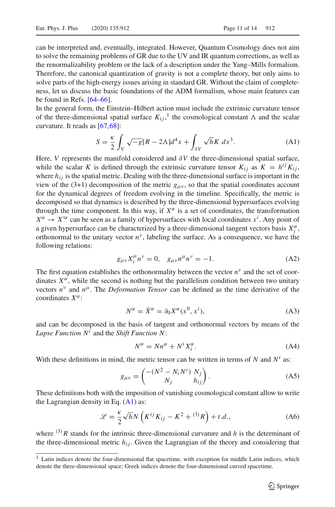can be interpreted and, eventually, integrated. However, Quantum Cosmology does not aim to solve the remaining problems of GR due to the UV and IR quantum corrections, as well as the renormalizability problem or the lack of a description under the Yang–Mills formalism. Therefore, the canonical quantization of gravity is not a complete theory, but only aims to solve parts of the high-energy issues arising in standard GR. Without the claim of completeness, let us discuss the basic foundations of the ADM formalism, whose main features can be found in Refs. [\[64](#page-13-17)[–66\]](#page-13-18).

In the general form, the Einstein–Hilbert action must include the extrinsic curvature tensor of the three-dimensional spatial surface  $K_{ij}$ ,<sup>[1](#page-10-0)</sup> the cosmological constant  $\Lambda$  and the scalar curvature. It reads as [\[67,](#page-13-19)[68](#page-13-20)]:

<span id="page-10-1"></span>
$$
S = \frac{\kappa}{2} \int_{V} \sqrt{-g} [R - 2\Lambda] d^4 x + \int_{\partial V} \sqrt{h} K \ dx^3.
$$
 (A1)

Here, *V* represents the manifold considered and  $\partial V$  the three-dimensional spatial surface, while the scalar *K* is defined through the extrinsic curvature tensor  $K_{ij}$  as  $K = h^{ij} K_{ij}$ , where  $h_{ij}$  is the spatial metric. Dealing with the three-dimensional surface is important in the view of the (3+1) decomposition of the metric  $g_{\mu\nu}$ , so that the spatial coordinates account for the dynamical degrees of freedom evolving in the timeline. Specifically, the metric is decomposed so that dynamics is described by the three-dimensional hypersurfaces evolving through the time component. In this way, if  $X^{\alpha}$  is a set of coordinates, the transformation  $X^{\alpha} \to X'^{\alpha}$  can be seen as a family of hypersurfaces with local coordinates  $x^i$ . Any point of a given hypersurface can be characterized by a three-dimensional tangent vectors basis  $X_i^{\alpha}$ , orthonormal to the unitary vector  $n<sup>v</sup>$ , labeling the surface. As a consequence, we have the following relations:

$$
g_{\mu\nu}X_i^{\mu}n^{\nu} = 0, \quad g_{\mu\nu}n^{\mu}n^{\nu} = -1.
$$
 (A2)

The first equation establishes the orthonormality between the vector  $n<sup>v</sup>$  and the set of coordinates  $X^{\alpha}$ , while the second is nothing but the parallelism condition between two unitary vectors  $n^{\nu}$  and  $n^{\mu}$ . The *Deformation Tensor* can be defined as the time derivative of the coordinates *X*α:

$$
N^{\alpha} = \dot{X}^{\alpha} = \partial_0 X^{\alpha} (x^0, x^i), \tag{A3}
$$

and can be decomposed in the basis of tangent and orthonormal vectors by means of the *Lapse Function N<sup>i</sup>* and the *Shift Function N*:

$$
N^{\alpha} = N n^{\alpha} + N^{i} X_{i}^{\alpha}.
$$
 (A4)

With these definitions in mind, the metric tensor can be written in terms of *N* and  $N^i$  as:

$$
g_{\mu\nu} = \begin{pmatrix} -(N^2 - N_i N^i) & N_j \\ N_j & h_{ij} \end{pmatrix} . \tag{A5}
$$

These definitions both with the imposition of vanishing cosmological constant allow to write the Lagrangian density in Eq.  $(A1)$  as:

<span id="page-10-2"></span>
$$
\mathcal{L} = \frac{\kappa}{2} \sqrt{h} N \left( K^{ij} K_{ij} - K^2 + {}^{(3)}R \right) + t.d., \tag{A6}
$$

where  $(3)$  R stands for the intrinsic three-dimensional curvature and h is the determinant of the three-dimensional metric  $h_{ij}$ . Given the Lagrangian of the theory and considering that

<span id="page-10-0"></span> $<sup>1</sup>$  Latin indices denote the four-dimensional flat spacetime, with exception for middle Latin indices, which</sup> denote the three-dimensional space; Greek indices denote the four-dimensional curved spacetime.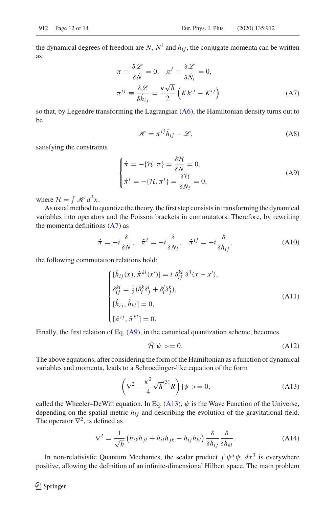<span id="page-11-1"></span>
$$
\pi \equiv \frac{\delta \mathcal{L}}{\delta \dot{N}} = 0, \quad \pi^i \equiv \frac{\delta \mathcal{L}}{\delta \dot{N}_i} = 0,
$$
  

$$
\pi^{ij} \equiv \frac{\delta \mathcal{L}}{\delta \dot{N}_{ij}} = \frac{\kappa \sqrt{h}}{2} \left( K h^{ij} - K^{ij} \right),
$$
(A7)

so that, by Legendre transforming the Lagrangian  $(A6)$ , the Hamiltonian density turns out to be

$$
\mathcal{H} = \pi^{ij} \dot{h}_{ij} - \mathcal{L},\tag{A8}
$$

satisfying the constraints

<span id="page-11-2"></span>
$$
\begin{cases} \dot{\pi} = -\{\mathcal{H}, \pi\} = \frac{\delta \mathcal{H}}{\delta N} = 0, \\ \dot{\pi}^i = -\{\mathcal{H}, \pi^i\} = \frac{\delta \mathcal{H}}{\delta N_i} = 0, \end{cases}
$$
(A9)

where  $\mathcal{H} = \int \mathcal{H} d^3x$ .

As usual method to quantize the theory, the first step consists in transforming the dynamical variables into operators and the Poisson brackets in commutators. Therefore, by rewriting the momenta definitions  $(A7)$  as

$$
\hat{\pi} = -i\frac{\delta}{\delta N}, \quad \hat{\pi}^i = -i\frac{\delta}{\delta N_i}, \quad \hat{\pi}^{ij} = -i\frac{\delta}{\delta h_{ij}}, \tag{A10}
$$

the following commutation relations hold:

$$
\begin{cases}\n[\hat{h}_{ij}(x), \hat{\pi}^{kl}(x')] = i \ \delta_{ij}^{kl} \ \delta^3(x - x'), \\
\delta_{ij}^{kl} = \frac{1}{2} (\delta_i^k \delta_j^l + \delta_i^l \delta_j^k), \\
[\hat{h}_{ij}, \hat{h}_{kl}] = 0, \\
[\hat{\pi}^{ij}, \hat{\pi}^{kl}] = 0.\n\end{cases} \tag{A11}
$$

Finally, the first relation of Eq. [\(A9\)](#page-11-2), in the canonical quantization scheme, becomes

$$
\hat{\mathcal{H}}|\psi\rangle = 0. \tag{A12}
$$

The above equations, after considering the form of the Hamiltonian as a function of dynamical variables and momenta, leads to a Schroedinger-like equation of the form

<span id="page-11-0"></span>
$$
\left(\nabla^2 - \frac{\kappa^2}{4} \sqrt{h}^{(3)} R\right) |\psi\rangle = 0, \tag{A13}
$$

called the Wheeler–DeWitt equation. In Eq.  $(A13)$ ,  $\psi$  is the Wave Function of the Universe, depending on the spatial metric  $h_{ij}$  and describing the evolution of the gravitational field. The operator  $\nabla^2$ , is defined as

$$
\nabla^2 = \frac{1}{\sqrt{h}} \left( h_{ik} h_{jl} + h_{il} h_{jk} - h_{ij} h_{kl} \right) \frac{\delta}{\delta h_{ij}} \frac{\delta}{\delta h_{kl}}.
$$
 (A14)

In non-relativistic Quantum Mechanics, the scalar product  $\int \psi^* \psi \ dx^3$  is everywhere positive, allowing the definition of an infinite-dimensional Hilbert space. The main problem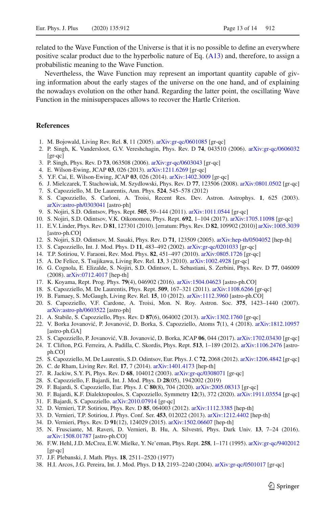related to the Wave Function of the Universe is that it is no possible to define an everywhere positive scalar product due to the hyperbolic nature of Eq. [\(A13\)](#page-11-0) and, therefore, to assign a probabilistic meaning to the Wave Function.

Nevertheless, the Wave Function may represent an important quantity capable of giving information about the early stages of the universe on the one hand, and of explaining the nowadays evolution on the other hand. Regarding the latter point, the oscillating Wave Function in the minisuperspaces allows to recover the Hartle Criterion.

### **References**

- <span id="page-12-0"></span>1. M. Bojowald, Living Rev. Rel. **8**, 11 (2005). [arXiv:gr-qc/0601085](http://arxiv.org/abs/gr-qc/0601085) [gr-qc]
- 2. P. Singh, K. Vandersloot, G.V. Vereshchagin, Phys. Rev. D **74**, 043510 (2006). [arXiv:gr-qc/0606032](http://arxiv.org/abs/gr-qc/0606032) [gr-qc]
- <span id="page-12-15"></span>3. P. Singh, Phys. Rev. D **73**, 063508 (2006). [arXiv:gr-qc/0603043](http://arxiv.org/abs/gr-qc/0603043) [gr-qc]
- 4. E. Wilson-Ewing, JCAP **03**, 026 (2013). [arXiv:1211.6269](http://arxiv.org/abs/1211.6269) [gr-qc]
- 5. Y.F. Cai, E. Wilson-Ewing, JCAP **03**, 026 (2014). [arXiv:1402.3009](http://arxiv.org/abs/1402.3009) [gr-qc]
- <span id="page-12-1"></span>6. J. Mielczarek, T. Stachowiak, M. Szydlowski, Phys. Rev. D **77**, 123506 (2008). [arXiv:0801.0502](http://arxiv.org/abs/0801.0502) [gr-qc]
- <span id="page-12-2"></span>7. S. Capozziello, M. De Laurentis, Ann. Phys. **524**, 545–578 (2012)
- 8. S. Capozziello, S. Carloni, A. Troisi, Recent Res. Dev. Astron. Astrophys. **1**, 625 (2003). [arXiv:astro-ph/0303041](http://arxiv.org/abs/astro-ph/0303041) [astro-ph]
- 9. S. Nojiri, S.D. Odintsov, Phys. Rept. **505**, 59–144 (2011). [arXiv:1011.0544](http://arxiv.org/abs/1011.0544) [gr-qc]
- 10. S. Nojiri, S.D. Odintsov, V.K. Oikonomou, Phys. Rept. **692**, 1–104 (2017). [arXiv:1705.11098](http://arxiv.org/abs/1705.11098) [gr-qc]
- 11. E.V. Linder, Phys. Rev. D **81**, 127301 (2010). [erratum: Phys. Rev. D **82**, 109902 (2010)] [arXiv:1005.3039](http://arxiv.org/abs/1005.3039) [astro-ph.CO]
- <span id="page-12-3"></span>12. S. Nojiri, S.D. Odintsov, M. Sasaki, Phys. Rev. D **71**, 123509 (2005). [arXiv:hep-th/0504052](http://arxiv.org/abs/hep-th/0504052) [hep-th]
- <span id="page-12-4"></span>13. S. Capozziello, Int. J. Mod. Phys. D **11**, 483–492 (2002). [arXiv:gr-qc/0201033](http://arxiv.org/abs/gr-qc/0201033) [gr-qc]
- 14. T.P. Sotiriou, V. Faraoni, Rev. Mod. Phys. **82**, 451–497 (2010). [arXiv:0805.1726](http://arxiv.org/abs/0805.1726) [gr-qc]
- 15. A. De Felice, S. Tsujikawa, Living Rev. Rel. **13**, 3 (2010). [arXiv:1002.4928](http://arxiv.org/abs/1002.4928) [gr-qc]
- <span id="page-12-5"></span>16. G. Cognola, E. Elizalde, S. Nojiri, S.D. Odintsov, L. Sebastiani, S. Zerbini, Phys. Rev. D **77**, 046009 (2008). [arXiv:0712.4017](http://arxiv.org/abs/0712.4017) [hep-th]
- <span id="page-12-6"></span>17. K. Koyama, Rept. Prog. Phys. **79**(4), 046902 (2016). [arXiv:1504.04623](http://arxiv.org/abs/1504.04623) [astro-ph.CO]
- <span id="page-12-7"></span>18. S. Capozziello, M. De Laurentis, Phys. Rept. **509**, 167–321 (2011). [arXiv:1108.6266](http://arxiv.org/abs/1108.6266) [gr-qc]
- <span id="page-12-8"></span>19. B. Famaey, S. McGaugh, Living Rev. Rel. **15**, 10 (2012). [arXiv:1112.3960](http://arxiv.org/abs/1112.3960) [astro-ph.CO]
- 20. S. Capozziello, V.F. Cardone, A. Troisi, Mon. N. Roy. Astron. Soc. **375**, 1423–1440 (2007). [arXiv:astro-ph/0603522](http://arxiv.org/abs/astro-ph/0603522) [astro-ph]
- 21. A. Stabile, S. Capozziello, Phys. Rev. D **87**(6), 064002 (2013). [arXiv:1302.1760](http://arxiv.org/abs/1302.1760) [gr-qc]
- 22. V. Borka Jovanović, P. Jovanović, D. Borka, S. Capozziello, Atoms **7**(1), 4 (2018). [arXiv:1812.10957](http://arxiv.org/abs/1812.10957) [astro-ph.GA]
- <span id="page-12-9"></span>23. S. Capozziello, P. Jovanović, V.B. Jovanović, D. Borka, JCAP 06, 044 (2017). [arXiv:1702.03430](http://arxiv.org/abs/1702.03430) [gr-qc]
- <span id="page-12-10"></span>24. T. Clifton, P.G. Ferreira, A. Padilla, C. Skordis, Phys. Rept. **513**, 1–189 (2012). [arXiv:1106.2476](http://arxiv.org/abs/1106.2476) [astroph.CO]
- 25. S. Capozziello, M. De Laurentis, S.D. Odintsov, Eur. Phys. J. C **72**, 2068 (2012). [arXiv:1206.4842](http://arxiv.org/abs/1206.4842) [gr-qc]
- 26. C. de Rham, Living Rev. Rel. **17**, 7 (2014). [arXiv:1401.4173](http://arxiv.org/abs/1401.4173) [hep-th]
- 27. R. Jackiw, S.Y. Pi, Phys. Rev. D **68**, 104012 (2003). [arXiv:gr-qc/0308071](http://arxiv.org/abs/gr-qc/0308071) [gr-qc]
- 28. S. Capozziello, F. Bajardi, Int. J. Mod. Phys. D **28**(05), 1942002 (2019)
- 29. F. Bajardi, S. Capozziello, Eur. Phys. J. C **80**(8), 704 (2020). [arXiv:2005.08313](http://arxiv.org/abs/2005.08313) [gr-qc]
- 30. F. Bajardi, K.F. Dialektopoulos, S. Capozziello, Symmetry **12**(3), 372 (2020). [arXiv:1911.03554](http://arxiv.org/abs/1911.03554) [gr-qc]
- 31. F. Bajardi, S. Capozziello. [arXiv:2010.07914](http://arxiv.org/abs/2010.07914) [gr-qc]
- 32. D. Vernieri, T.P. Sotiriou, Phys. Rev. D **85**, 064003 (2012). [arXiv:1112.3385](http://arxiv.org/abs/1112.3385) [hep-th]
- 33. D. Vernieri, T.P. Sotiriou, J. Phys. Conf. Ser. **453**, 012022 (2013). [arXiv:1212.4402](http://arxiv.org/abs/1212.4402) [hep-th]
- 34. D. Vernieri, Phys. Rev. D **91**(12), 124029 (2015). [arXiv:1502.06607](http://arxiv.org/abs/1502.06607) [hep-th]
- <span id="page-12-11"></span>35. N. Frusciante, M. Raveri, D. Vernieri, B. Hu, A. Silvestri, Phys. Dark Univ. **13**, 7–24 (2016). [arXiv:1508.01787](http://arxiv.org/abs/1508.01787) [astro-ph.CO]
- <span id="page-12-12"></span>36. F.W. Hehl, J.D. McCrea, E.W. Mielke, Y. Ne'eman, Phys. Rept. **258**, 1–171 (1995). [arXiv:gr-qc/9402012](http://arxiv.org/abs/gr-qc/9402012) [gr-qc]
- <span id="page-12-13"></span>37. J.F. Plebanski, J. Math. Phys. **18**, 2511–2520 (1977)
- <span id="page-12-14"></span>38. H.I. Arcos, J.G. Pereira, Int. J. Mod. Phys. D **13**, 2193–2240 (2004). [arXiv:gr-qc/0501017](http://arxiv.org/abs/gr-qc/0501017) [gr-qc]